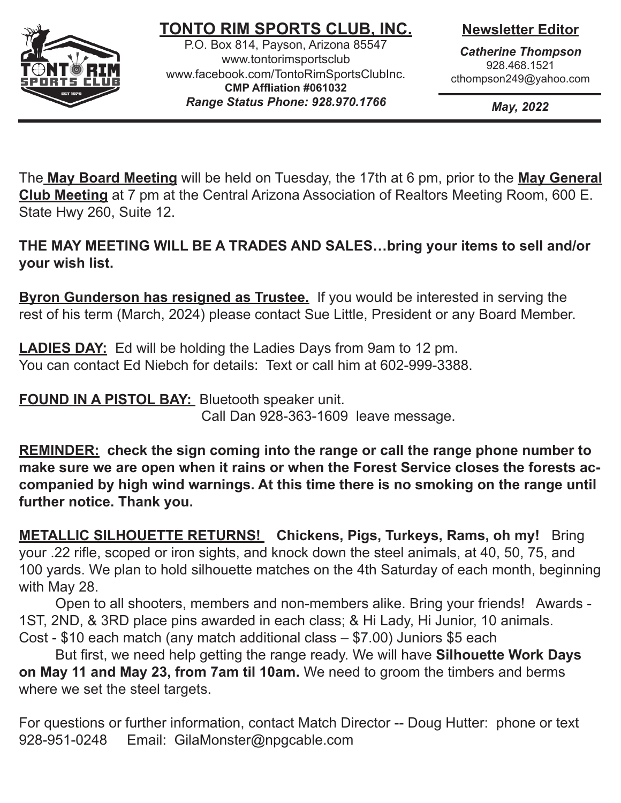

# **TONTO RIM SPORTS CLUB, INC.**

P.O. Box 814, Payson, Arizona 85547 www.tontorimsportsclub www.facebook.com/TontoRimSportsClubInc. **CMP Affliation #061032** *Range Status Phone: 928.970.1766*

## **Newsletter Editor**

*Catherine Thompson* 928.468.1521 cthompson249@yahoo.com

*May, 2022*

The **May Board Meeting** will be held on Tuesday, the 17th at 6 pm, prior to the **May General Club Meeting** at 7 pm at the Central Arizona Association of Realtors Meeting Room, 600 E. State Hwy 260, Suite 12.

**THE MAY MEETING WILL BE A TRADES AND SALES…bring your items to sell and/or your wish list.**

**Byron Gunderson has resigned as Trustee.** If you would be interested in serving the rest of his term (March, 2024) please contact Sue Little, President or any Board Member.

**LADIES DAY:** Ed will be holding the Ladies Days from 9am to 12 pm. You can contact Ed Niebch for details: Text or call him at 602-999-3388.

**FOUND IN A PISTOL BAY:** Bluetooth speaker unit. Call Dan 928-363-1609 leave message.

**REMINDER: check the sign coming into the range or call the range phone number to make sure we are open when it rains or when the Forest Service closes the forests accompanied by high wind warnings. At this time there is no smoking on the range until further notice. Thank you.**

**METALLIC SILHOUETTE RETURNS! Chickens, Pigs, Turkeys, Rams, oh my!** Bring your .22 rifle, scoped or iron sights, and knock down the steel animals, at 40, 50, 75, and 100 yards. We plan to hold silhouette matches on the 4th Saturday of each month, beginning with May 28.

Open to all shooters, members and non-members alike. Bring your friends! Awards - 1ST, 2ND, & 3RD place pins awarded in each class; & Hi Lady, Hi Junior, 10 animals. Cost - \$10 each match (any match additional class – \$7.00) Juniors \$5 each

But first, we need help getting the range ready. We will have **Silhouette Work Days on May 11 and May 23, from 7am til 10am.** We need to groom the timbers and berms where we set the steel targets.

For questions or further information, contact Match Director -- Doug Hutter: phone or text 928-951-0248 Email: GilaMonster@npgcable.com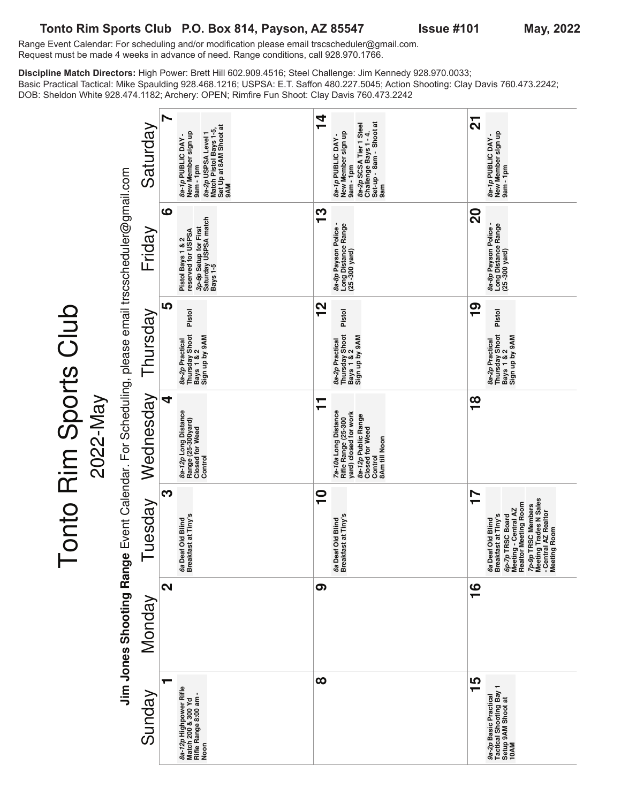#### **Tonto Rim Sports Club P.O. Box 814, Payson, AZ 85547 Issue #101 May, 2022** Range Event Calendar: For scheduling and/or modification please email trscscheduler@gmail.com.

Request must be made 4 weeks in advance of need. Range conditions, call 928.970.1766.

**Discipline Match Directors:** High Power: Brett Hill 602.909.4516; Steel Challenge: Jim Kennedy 928.970.0033; Basic Practical Tactical: Mike Spaulding 928.468.1216; USPSA: E.T. Saffon 480.227.5045; Action Shooting: Clay Davis 760.473.2242; DOB: Sheldon White 928.474.1182; Archery: OPEN; Rimfire Fun Shoot: Clay Davis 760.473.2242

> **14 7***8a-2p* SCSA Tier 1 Steel<br>Challenge Bays 1 - 4.<br>Set-up - 8am - Shoot at<br>9am **21** *8a-2p* USPSA Level 1<br>Match Pistol Bays 1-5,<br>Set Up at 8AM Shoot at<br>9AM **Set-up - 8am - Shoot at** Saturday Sunday Monday Tuesday Wednesday Thursday Friday Saturday**8a-2p SCSA Tier 1 Steel Set Up at 8AM Shoot at** *8a-1p* PUBLIC DAY -<br>New Member sign up<br>9am - 1pm *8a-1p* PUBLIC DAY -<br>New Member sign up<br>9am - 1pm **Match Pistol Bays 1-5,** 8a-1p PUBLIC DAY -<br>New Member sign up **New Member sign up 8a-2p USPSA Level 1 New Member sign up Challenge Bays 1 - 4. New Member sign up 8a-1p PUBLIC DAY - 8a-1p PUBLIC DAY - 8a-1p PUBLIC DAY -** 9am - 1pm **9am - 1pm 9am - 1pm 9am - 1pm** Jim Jones Shooting Range Event Calendar. For Scheduling, please email trscscheduler@gmail.com <u>ლ</u> **620** Pistol Bays 1 & 2<br>reserved for USPSA<br>*3p-6p* Setup for First<br>Saturday USPSA match<br>Bays 1-5 **Saturday USPSA match** *8a-8p* Payson Police -<br>Long Distance Range<br>(25 -300 yard) *8a-8p* Payson Police -<br>Long Distance Range<br>(25 -300 yard) Friday **8a-8p Payson Police - Long Distance Range 8a-8p Payson Police - Long Distance Range 3p-6p Setup for First reserved for USPSA Pistol Bays 1 & 2 (25 -300 yard) (25 -300 yard) 512**  $\frac{6}{1}$ **18 19** Pistol Pistol Pistol Thursday **Thursday Shoot Pistol Thursday Shoot Pistol Thursday Shoot Pistol** *8a-2p* Practical<br>Thursday Shoot<br>Bays 1 & 2<br>Sign up by 9AM *8a-2p* Practical<br>Thursday Shoot<br>Bays 1 & 2<br>Sign up by 9AM *8a-2p* Practical<br>Thursday Shoot<br>Bays 1 & 2<br>Sign up by 9AM **Sign up by 9AM Sign up by 9AM Sign up by 9AM 8a-2p Practical 8a-2p Practical 8a-2p Practical Bays 1 & 2 Bays 1 & 2 Bays 1 & 2**  Wednesday **4** $\frac{8}{1}$ **11** *8a-12p* Long Distance<br>Range (25-300yard)<br>Closed for Weed<br>Control 7a-10a Long Distance<br>Riffle Range (25-300<br>yard) closed for work<br>*8a-12p* Public Range<br>Consed for Weed<br>Consed in till Noon **8a-12p Long Distance 7a-10a Long Distance yard) closed for work 8a-12p Public Range Range (25-300yard) Rifle Range (25-300 Closed for Weed Closed for Weed 8Am till Noon** <u>ო</u>  $\frac{0}{1}$  $\overline{1}$  **10 16 17** 7p-9p TRSC Members<br>Meeting Trades N Sales<br>- Central AZ Realtor<br>Meeting Room 6p-7p TRSC Board<br>Meeting - Central AZ<br>Realtor Meeting Room Tuesday **Meeting Trades N Sales Realtor Meeting Room 7p-9p TRSC Members Meeting - Central AZ - Central AZ Realtor** 6a Deaf Old Blind<br>Breakfast at Tiny's 6a Deaf Old Blind<br>Breakfast at Tiny's 6a Deaf Old Blind<br>Breakfast at Tiny's **Breakfast at Tiny's Breakfast at Tiny's Breakfast at Tiny's 6p-7p TRSC Board 6a Deaf Old Blind 6a Deaf Old Blind 6a Deaf Old Blind Meeting Room**  $\mathbf{\Omega}$  $\frac{6}{1}$ **9**Monday **815** *9a-2p* Basic Practical<br>Tactical Shooting Bay 1<br>Setup 9AM Shoot at<br>10AM **1***8a-12p* Highpower Rifle<br>Match 200 & 300 Yd<br>Rifle Range 8:00 am -<br>Noon **8a-12p Highpower Rifle Tactical Shooting Bay 1** Sunday **Rifle Range 8:00 am - 9a-2p Basic Practical Setup 9AM Shoot at Match 200 & 300 Yd**

Tonto Rim Sports Club<br>2022-May<br>Jim Jones Shooting Range Event Calendar. For Scheduling, please email trscscheduler@gmail.com Tonto Rim Sports Club 2022-May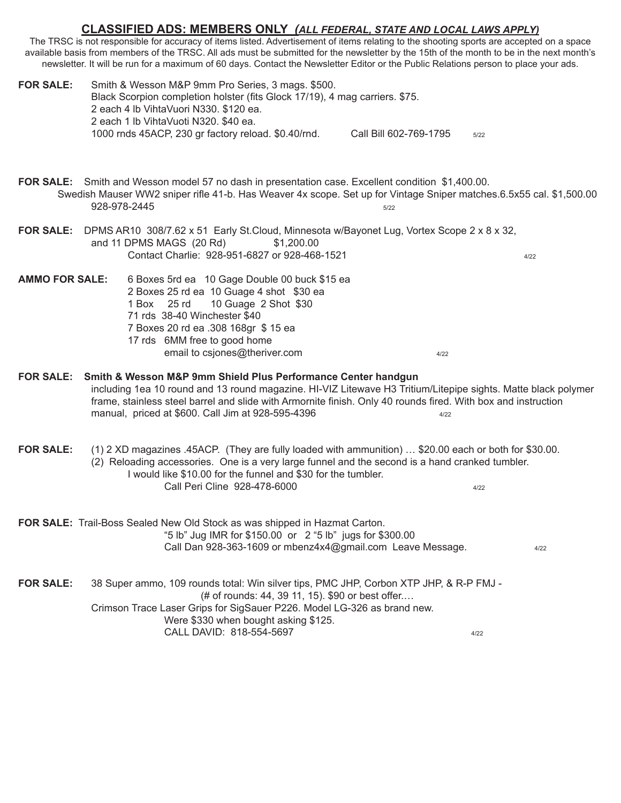### **CLASSIFIED ADS: MEMBERS ONLY** *(ALL FEDERAL, STATE AND LOCAL LAWS APPLY)*

The TRSC is not responsible for accuracy of items listed. Advertisement of items relating to the shooting sports are accepted on a space available basis from members of the TRSC. All ads must be submitted for the newsletter by the 15th of the month to be in the next month's newsletter. It will be run for a maximum of 60 days. Contact the Newsletter Editor or the Public Relations person to place your ads.

| <b>FOR SALE:</b>                                                                                    |              |             | Smith & Wesson M&P 9mm Pro Series, 3 mags. \$500.<br>Black Scorpion completion holster (fits Glock 17/19), 4 mag carriers. \$75.<br>2 each 4 lb VihtaVuori N330. \$120 ea.<br>2 each 1 lb VihtaVuoti N320. \$40 ea.                                                                                                                                  |                                                  |                        |      |        |      |  |
|-----------------------------------------------------------------------------------------------------|--------------|-------------|------------------------------------------------------------------------------------------------------------------------------------------------------------------------------------------------------------------------------------------------------------------------------------------------------------------------------------------------------|--------------------------------------------------|------------------------|------|--------|------|--|
|                                                                                                     |              |             | 1000 rnds 45ACP, 230 gr factory reload. \$0.40/rnd.                                                                                                                                                                                                                                                                                                  |                                                  | Call Bill 602-769-1795 |      | $5/22$ |      |  |
| FOR SALE: Smith and Wesson model 57 no dash in presentation case. Excellent condition \$1,400.00.   | 928-978-2445 |             | Swedish Mauser WW2 sniper rifle 41-b. Has Weaver 4x scope. Set up for Vintage Sniper matches.6.5x55 cal. \$1,500.00                                                                                                                                                                                                                                  |                                                  | 5/22                   |      |        |      |  |
| FOR SALE: DPMS AR10 308/7.62 x 51 Early St.Cloud, Minnesota w/Bayonet Lug, Vortex Scope 2 x 8 x 32, |              |             | and 11 DPMS MAGS (20 Rd)<br>Contact Charlie: 928-951-6827 or 928-468-1521                                                                                                                                                                                                                                                                            | \$1,200.00                                       |                        |      |        | 4/22 |  |
| <b>AMMO FOR SALE:</b>                                                                               |              | 1 Box 25 rd | 6 Boxes 5rd ea 10 Gage Double 00 buck \$15 ea<br>2 Boxes 25 rd ea 10 Guage 4 shot \$30 ea<br>71 rds 38-40 Winchester \$40<br>7 Boxes 20 rd ea .308 168gr \$ 15 ea<br>17 rds 6MM free to good home<br>email to csjones@theriver.com                                                                                                                   | 10 Guage 2 Shot \$30                             |                        | 4/22 |        |      |  |
| <b>FOR SALE:</b>                                                                                    |              |             | Smith & Wesson M&P 9mm Shield Plus Performance Center handgun<br>including 1ea 10 round and 13 round magazine. HI-VIZ Litewave H3 Tritium/Litepipe sights. Matte black polymer<br>frame, stainless steel barrel and slide with Armornite finish. Only 40 rounds fired. With box and instruction<br>manual, priced at \$600. Call Jim at 928-595-4396 |                                                  |                        | 4/22 |        |      |  |
| <b>FOR SALE:</b>                                                                                    |              |             | (1) 2 XD magazines .45ACP. (They are fully loaded with ammunition)  \$20.00 each or both for \$30.00.<br>(2) Reloading accessories. One is a very large funnel and the second is a hand cranked tumbler.<br>I would like \$10.00 for the funnel and \$30 for the tumbler.<br>Call Peri Cline 928-478-6000                                            |                                                  |                        |      | 4/22   |      |  |
| FOR SALE: Trail-Boss Sealed New Old Stock as was shipped in Hazmat Carton.                          |              |             | "5 lb" Jug IMR for \$150.00 or 2 "5 lb" jugs for \$300.00<br>Call Dan 928-363-1609 or mbenz4x4@gmail.com Leave Message.                                                                                                                                                                                                                              |                                                  |                        |      |        | 4/22 |  |
| <b>FOR SALE:</b>                                                                                    |              |             | 38 Super ammo, 109 rounds total: Win silver tips, PMC JHP, Corbon XTP JHP, & R-P FMJ -<br>Crimson Trace Laser Grips for SigSauer P226. Model LG-326 as brand new.<br>Were \$330 when bought asking \$125.<br>CALL DAVID: 818-554-5697                                                                                                                | (# of rounds: 44, 39 11, 15). \$90 or best offer |                        |      | 4/22   |      |  |